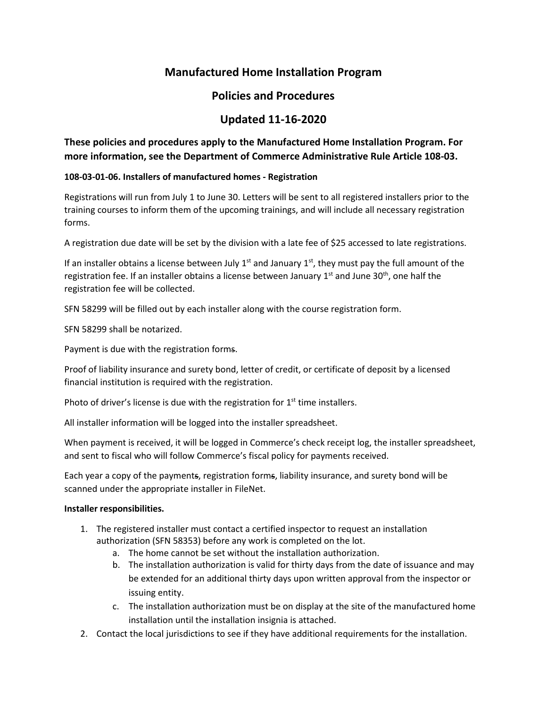# **Manufactured Home Installation Program**

## **Policies and Procedures**

# **Updated 11-16-2020**

## **These policies and procedures apply to the Manufactured Home Installation Program. For more information, see the Department of Commerce Administrative Rule Article 108-03.**

### **108-03-01-06. Installers of manufactured homes - Registration**

Registrations will run from July 1 to June 30. Letters will be sent to all registered installers prior to the training courses to inform them of the upcoming trainings, and will include all necessary registration forms.

A registration due date will be set by the division with a late fee of \$25 accessed to late registrations.

If an installer obtains a license between July  $1<sup>st</sup>$  and January  $1<sup>st</sup>$ , they must pay the full amount of the registration fee. If an installer obtains a license between January  $1<sup>st</sup>$  and June 30<sup>th</sup>, one half the registration fee will be collected.

SFN 58299 will be filled out by each installer along with the course registration form.

SFN 58299 shall be notarized.

Payment is due with the registration forms.

Proof of liability insurance and surety bond, letter of credit, or certificate of deposit by a licensed financial institution is required with the registration.

Photo of driver's license is due with the registration for  $1<sup>st</sup>$  time installers.

All installer information will be logged into the installer spreadsheet.

When payment is received, it will be logged in Commerce's check receipt log, the installer spreadsheet, and sent to fiscal who will follow Commerce's fiscal policy for payments received.

Each year a copy of the payments, registration forms, liability insurance, and surety bond will be scanned under the appropriate installer in FileNet.

## **Installer responsibilities.**

- 1. The registered installer must contact a certified inspector to request an installation authorization (SFN 58353) before any work is completed on the lot.
	- a. The home cannot be set without the installation authorization.
	- b. The installation authorization is valid for thirty days from the date of issuance and may be extended for an additional thirty days upon written approval from the inspector or issuing entity.
	- c. The installation authorization must be on display at the site of the manufactured home installation until the installation insignia is attached.
- 2. Contact the local jurisdictions to see if they have additional requirements for the installation.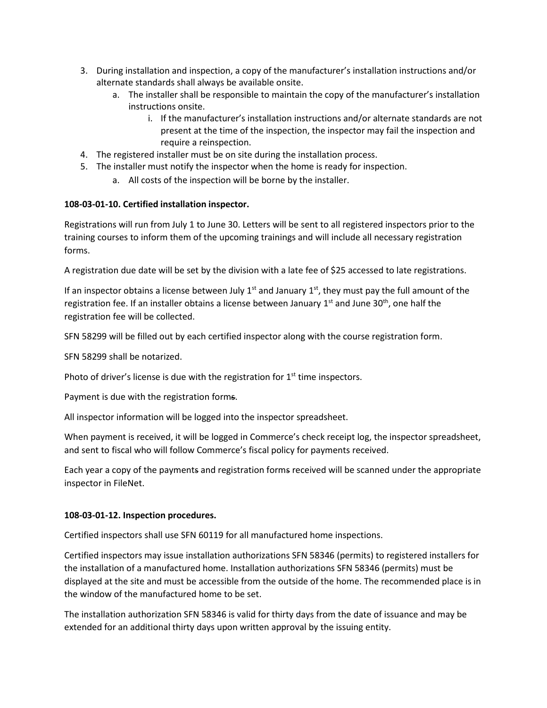- 3. During installation and inspection, a copy of the manufacturer's installation instructions and/or alternate standards shall always be available onsite.
	- a. The installer shall be responsible to maintain the copy of the manufacturer's installation instructions onsite.
		- i. If the manufacturer's installation instructions and/or alternate standards are not present at the time of the inspection, the inspector may fail the inspection and require a reinspection.
- 4. The registered installer must be on site during the installation process.
- 5. The installer must notify the inspector when the home is ready for inspection.
	- a. All costs of the inspection will be borne by the installer.

### **108-03-01-10. Certified installation inspector.**

Registrations will run from July 1 to June 30. Letters will be sent to all registered inspectors prior to the training courses to inform them of the upcoming trainings and will include all necessary registration forms.

A registration due date will be set by the division with a late fee of \$25 accessed to late registrations.

If an inspector obtains a license between July  $1^{st}$  and January  $1^{st}$ , they must pay the full amount of the registration fee. If an installer obtains a license between January  $1<sup>st</sup>$  and June 30<sup>th</sup>, one half the registration fee will be collected.

SFN 58299 will be filled out by each certified inspector along with the course registration form.

SFN 58299 shall be notarized.

Photo of driver's license is due with the registration for  $1<sup>st</sup>$  time inspectors.

Payment is due with the registration forms.

All inspector information will be logged into the inspector spreadsheet.

When payment is received, it will be logged in Commerce's check receipt log, the inspector spreadsheet, and sent to fiscal who will follow Commerce's fiscal policy for payments received.

Each year a copy of the payments and registration forms received will be scanned under the appropriate inspector in FileNet.

#### **108-03-01-12. Inspection procedures.**

Certified inspectors shall use SFN 60119 for all manufactured home inspections.

Certified inspectors may issue installation authorizations SFN 58346 (permits) to registered installers for the installation of a manufactured home. Installation authorizations SFN 58346 (permits) must be displayed at the site and must be accessible from the outside of the home. The recommended place is in the window of the manufactured home to be set.

The installation authorization SFN 58346 is valid for thirty days from the date of issuance and may be extended for an additional thirty days upon written approval by the issuing entity.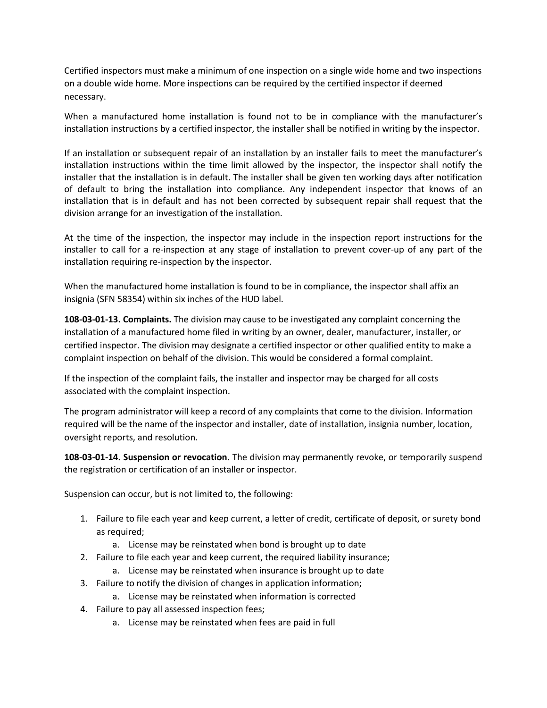Certified inspectors must make a minimum of one inspection on a single wide home and two inspections on a double wide home. More inspections can be required by the certified inspector if deemed necessary.

When a manufactured home installation is found not to be in compliance with the manufacturer's installation instructions by a certified inspector, the installer shall be notified in writing by the inspector.

If an installation or subsequent repair of an installation by an installer fails to meet the manufacturer's installation instructions within the time limit allowed by the inspector, the inspector shall notify the installer that the installation is in default. The installer shall be given ten working days after notification of default to bring the installation into compliance. Any independent inspector that knows of an installation that is in default and has not been corrected by subsequent repair shall request that the division arrange for an investigation of the installation.

At the time of the inspection, the inspector may include in the inspection report instructions for the installer to call for a re-inspection at any stage of installation to prevent cover-up of any part of the installation requiring re-inspection by the inspector.

When the manufactured home installation is found to be in compliance, the inspector shall affix an insignia (SFN 58354) within six inches of the HUD label.

**108-03-01-13. Complaints.** The division may cause to be investigated any complaint concerning the installation of a manufactured home filed in writing by an owner, dealer, manufacturer, installer, or certified inspector. The division may designate a certified inspector or other qualified entity to make a complaint inspection on behalf of the division. This would be considered a formal complaint.

If the inspection of the complaint fails, the installer and inspector may be charged for all costs associated with the complaint inspection.

The program administrator will keep a record of any complaints that come to the division. Information required will be the name of the inspector and installer, date of installation, insignia number, location, oversight reports, and resolution.

**108-03-01-14. Suspension or revocation.** The division may permanently revoke, or temporarily suspend the registration or certification of an installer or inspector.

Suspension can occur, but is not limited to, the following:

- 1. Failure to file each year and keep current, a letter of credit, certificate of deposit, or surety bond as required;
	- a. License may be reinstated when bond is brought up to date
- 2. Failure to file each year and keep current, the required liability insurance;
	- a. License may be reinstated when insurance is brought up to date
- 3. Failure to notify the division of changes in application information;
	- a. License may be reinstated when information is corrected
- 4. Failure to pay all assessed inspection fees;
	- a. License may be reinstated when fees are paid in full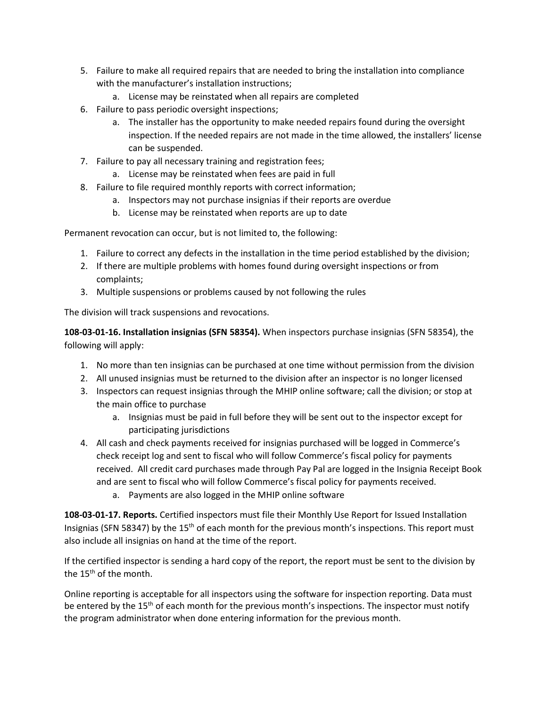- 5. Failure to make all required repairs that are needed to bring the installation into compliance with the manufacturer's installation instructions;
	- a. License may be reinstated when all repairs are completed
- 6. Failure to pass periodic oversight inspections;
	- a. The installer has the opportunity to make needed repairs found during the oversight inspection. If the needed repairs are not made in the time allowed, the installers' license can be suspended.
- 7. Failure to pay all necessary training and registration fees;
	- a. License may be reinstated when fees are paid in full
- 8. Failure to file required monthly reports with correct information;
	- a. Inspectors may not purchase insignias if their reports are overdue
	- b. License may be reinstated when reports are up to date

Permanent revocation can occur, but is not limited to, the following:

- 1. Failure to correct any defects in the installation in the time period established by the division;
- 2. If there are multiple problems with homes found during oversight inspections or from complaints;
- 3. Multiple suspensions or problems caused by not following the rules

The division will track suspensions and revocations.

**108-03-01-16. Installation insignias (SFN 58354).** When inspectors purchase insignias (SFN 58354), the following will apply:

- 1. No more than ten insignias can be purchased at one time without permission from the division
- 2. All unused insignias must be returned to the division after an inspector is no longer licensed
- 3. Inspectors can request insignias through the MHIP online software; call the division; or stop at the main office to purchase
	- a. Insignias must be paid in full before they will be sent out to the inspector except for participating jurisdictions
- 4. All cash and check payments received for insignias purchased will be logged in Commerce's check receipt log and sent to fiscal who will follow Commerce's fiscal policy for payments received. All credit card purchases made through Pay Pal are logged in the Insignia Receipt Book and are sent to fiscal who will follow Commerce's fiscal policy for payments received.
	- a. Payments are also logged in the MHIP online software

**108-03-01-17. Reports.** Certified inspectors must file their Monthly Use Report for Issued Installation Insignias (SFN 58347) by the 15<sup>th</sup> of each month for the previous month's inspections. This report must also include all insignias on hand at the time of the report.

If the certified inspector is sending a hard copy of the report, the report must be sent to the division by the  $15<sup>th</sup>$  of the month.

Online reporting is acceptable for all inspectors using the software for inspection reporting. Data must be entered by the 15<sup>th</sup> of each month for the previous month's inspections. The inspector must notify the program administrator when done entering information for the previous month.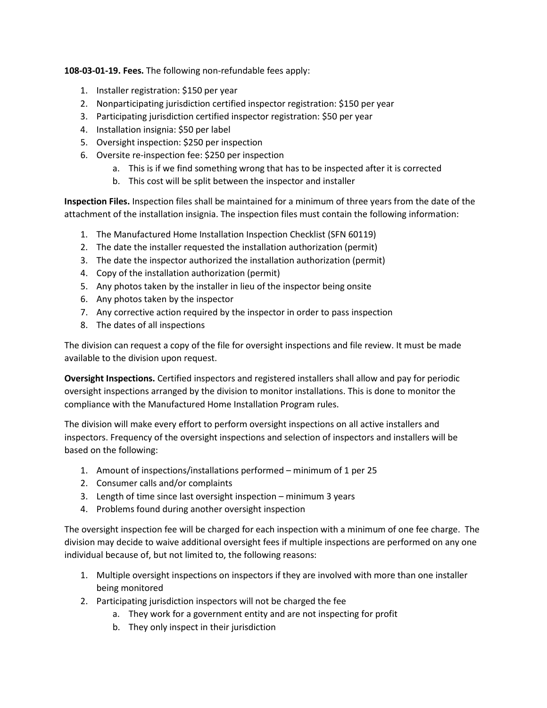**108-03-01-19. Fees.** The following non-refundable fees apply:

- 1. Installer registration: \$150 per year
- 2. Nonparticipating jurisdiction certified inspector registration: \$150 per year
- 3. Participating jurisdiction certified inspector registration: \$50 per year
- 4. Installation insignia: \$50 per label
- 5. Oversight inspection: \$250 per inspection
- 6. Oversite re-inspection fee: \$250 per inspection
	- a. This is if we find something wrong that has to be inspected after it is corrected
	- b. This cost will be split between the inspector and installer

**Inspection Files.** Inspection files shall be maintained for a minimum of three years from the date of the attachment of the installation insignia. The inspection files must contain the following information:

- 1. The Manufactured Home Installation Inspection Checklist (SFN 60119)
- 2. The date the installer requested the installation authorization (permit)
- 3. The date the inspector authorized the installation authorization (permit)
- 4. Copy of the installation authorization (permit)
- 5. Any photos taken by the installer in lieu of the inspector being onsite
- 6. Any photos taken by the inspector
- 7. Any corrective action required by the inspector in order to pass inspection
- 8. The dates of all inspections

The division can request a copy of the file for oversight inspections and file review. It must be made available to the division upon request.

**Oversight Inspections.** Certified inspectors and registered installers shall allow and pay for periodic oversight inspections arranged by the division to monitor installations. This is done to monitor the compliance with the Manufactured Home Installation Program rules.

The division will make every effort to perform oversight inspections on all active installers and inspectors. Frequency of the oversight inspections and selection of inspectors and installers will be based on the following:

- 1. Amount of inspections/installations performed minimum of 1 per 25
- 2. Consumer calls and/or complaints
- 3. Length of time since last oversight inspection minimum 3 years
- 4. Problems found during another oversight inspection

The oversight inspection fee will be charged for each inspection with a minimum of one fee charge. The division may decide to waive additional oversight fees if multiple inspections are performed on any one individual because of, but not limited to, the following reasons:

- 1. Multiple oversight inspections on inspectors if they are involved with more than one installer being monitored
- 2. Participating jurisdiction inspectors will not be charged the fee
	- a. They work for a government entity and are not inspecting for profit
	- b. They only inspect in their jurisdiction